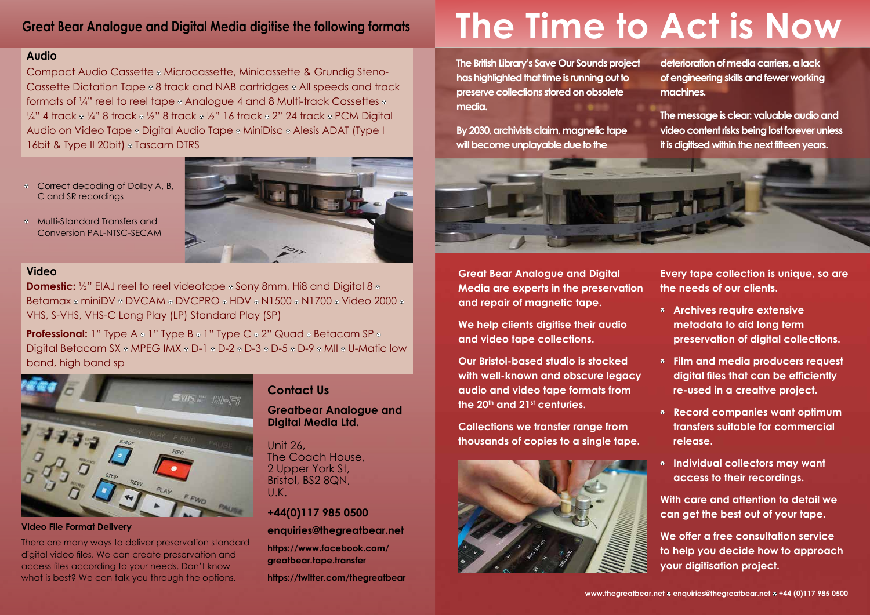### **Audio**

Compact Audio Cassette • Microcassette, Minicassette & Grundig Steno-Cassette Dictation Tape  $\circ$  8 track and NAB cartridges  $\circ$  All speeds and track formats of  $\frac{1}{4}$ " reel to reel tape  $\frac{1}{4}$  Analogue 4 and 8 Multi-track Cassettes  $\frac{1}{4}$  $\frac{1}{4}$ " 4 track  $\frac{1}{4}$ " 8 track  $\frac{1}{2}$ " 8 track  $\frac{1}{2}$ " 16 track  $\frac{1}{2}$  24 track  $\frac{1}{2}$  PCM Digital Audio on Video Tape • Digital Audio Tape • MiniDisc • Alesis ADAT (Type I 16bit & Type II 20bit)  $\circ$  Tascam DTRS

- <sup>8</sup> Correct decoding of Dolby A, B, C and SR recordings
- Multi-Standard Transfers and Conversion PAL-NTSC-SECAM



There are many ways to deliver preservation standard digital video files. We can create preservation and access files according to your needs. Don't know what is best? We can talk you through the options.

**Domestic:** <sup>1</sup>/<sub>2</sub>" EIAJ reel to reel videotape  $\circ$  Sony 8mm, Hi8 and Digital 8  $\circ$ Betamax & miniDV & DVCAM & DVCPRO & HDV & N1500 & N1700 & Video 2000 & VHS, S-VHS, VHS-C Long Play (LP) Standard Play (SP)

**Professional:** 1" Type A  $\circ$  1" Type B  $\circ$  1" Type C  $\circ$  2" Quad  $\circ$  Betacam SP  $\circ$ Digital Betacam SX  $\circ$  MPEG IMX  $\circ$  D-1  $\circ$  D-2  $\circ$  D-3  $\circ$  D-5  $\circ$  D-9  $\circ$  MII  $\circ$  U-Matic low band, high band sp



**Video File Format Delivery**

### **Video**

### **Contact Us**

### **Greatbear Analogue and Digital Media Ltd.**

Unit 26, The Coach House, 2 Upper York St, Bristol, BS2 8QN, U.K.

### **+44(0)117 985 0500**

### **enquiries@thegreatbear.net**

**https://www.facebook.com/ greatbear.tape.transfer**

**https://twitter.com/thegreatbear** 

# **Great Bear Analogue and Digital Media digitise the following formats**

**Great Bear Analogue and Digital Media are experts in the preservation and repair of magnetic tape.** 

**We help clients digitise their audio and video tape collections.** 

**Our Bristol-based studio is stocked with well-known and obscure legacy audio and video tape formats from the 20th and 21st centuries.** 

**Collections we transfer range from thousands of copies to a single tape.** 



**Every tape collection is unique, so are the needs of our clients.** 

- **Archives require extensive metadata to aid long term preservation of digital collections.**
- **Film and media producers request digital files that can be efficiently re-used in a creative project.**
- **Record companies want optimum transfers suitable for commercial release.**
- **Individual collectors may want access to their recordings.**
- **With care and attention to detail we can get the best out of your tape.**
- **We offer a free consultation service to help you decide how to approach your digitisation project.**

www.thegreatbear.net **\*** enquiries@thegreatbear.net **\*** +44 (0)117 985 0500

# **The Time to Act is Now**

**The British Library's Save Our Sounds project has highlighted that time is running out to preserve collections stored on obsolete media.**

**By 2030, archivists claim, magnetic tape will become unplayable due to the** 



**deterioration of media carriers, a lack of engineering skills and fewer working machines.**

**The message is clear: valuable audio and video content risks being lost forever unless it is digitised within the next fifteen years.**